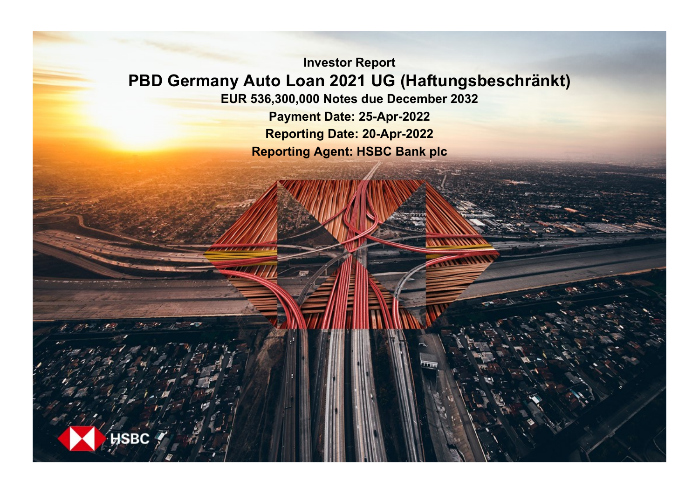**Investor Report PBD Germany Auto Loan 2021 UG (Haftungsbeschränkt) EUR 536,300,000 Notes due December 2032 Payment Date: 25-Apr-2022**

**Reporting Date: 20-Apr-2022 Reporting Agent: HSBC Bank plc**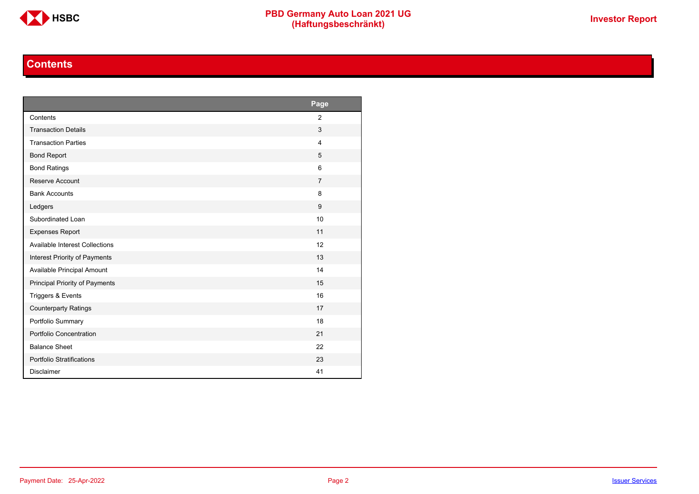

### **Contents**

<span id="page-1-0"></span>

|                                       | Page           |
|---------------------------------------|----------------|
| Contents                              | $\overline{2}$ |
| <b>Transaction Details</b>            | 3              |
| <b>Transaction Parties</b>            | $\overline{4}$ |
| <b>Bond Report</b>                    | 5              |
| <b>Bond Ratings</b>                   | 6              |
| Reserve Account                       | $\overline{7}$ |
| <b>Bank Accounts</b>                  | 8              |
| Ledgers                               | 9              |
| Subordinated Loan                     | 10             |
| <b>Expenses Report</b>                | 11             |
| <b>Available Interest Collections</b> | 12             |
| Interest Priority of Payments         | 13             |
| Available Principal Amount            | 14             |
| Principal Priority of Payments        | 15             |
| Triggers & Events                     | 16             |
| <b>Counterparty Ratings</b>           | 17             |
| Portfolio Summary                     | 18             |
| Portfolio Concentration               | 21             |
| <b>Balance Sheet</b>                  | 22             |
| Portfolio Stratifications             | 23             |
| <b>Disclaimer</b>                     | 41             |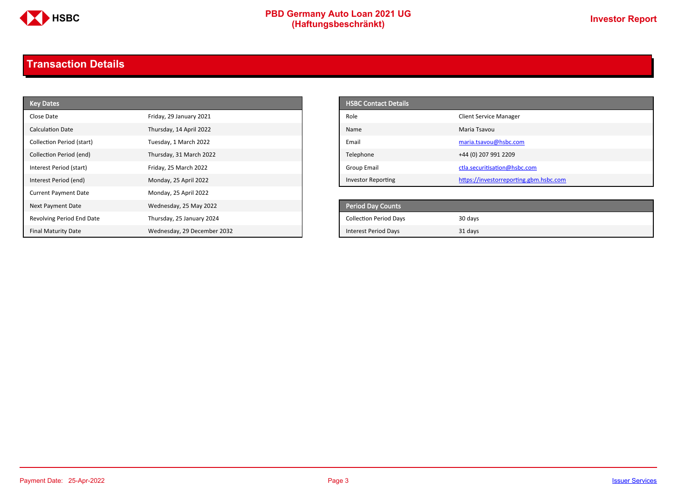

# **PBD Germany Auto Loan 2021 UG**<br>
(Haftungsbeschränkt)<br>
This area of the CHSD CHA (Haftungsbeschränkt)

# <span id="page-2-0"></span>**Transaction Details**

| <b>Key Dates</b>            |                             | <b>HSBC Contact Details</b>   |                                        |
|-----------------------------|-----------------------------|-------------------------------|----------------------------------------|
| Close Date                  | Friday, 29 January 2021     | Role                          | <b>Client Service Manager</b>          |
| <b>Calculation Date</b>     | Thursday, 14 April 2022     | Name                          | Maria Tsavou                           |
| Collection Period (start)   | Tuesday, 1 March 2022       | Email                         | maria.tsavou@hsbc.com                  |
| Collection Period (end)     | Thursday, 31 March 2022     | Telephone                     | +44 (0) 207 991 2209                   |
| Interest Period (start)     | Friday, 25 March 2022       | <b>Group Email</b>            | ctla.securitisation@hsbc.com           |
| Interest Period (end)       | Monday, 25 April 2022       | <b>Investor Reporting</b>     | https://investorreporting.gbm.hsbc.com |
| <b>Current Payment Date</b> | Monday, 25 April 2022       |                               |                                        |
| Next Payment Date           | Wednesday, 25 May 2022      | Period Day Counts             |                                        |
| Revolving Period End Date   | Thursday, 25 January 2024   | <b>Collection Period Days</b> | 30 days                                |
| <b>Final Maturity Date</b>  | Wednesday, 29 December 2032 | <b>Interest Period Days</b>   | 31 days                                |

| <b>HSBC Contact Details</b> |                                        |
|-----------------------------|----------------------------------------|
| Role                        | <b>Client Service Manager</b>          |
| Name                        | Maria Tsayou                           |
| Email                       | maria.tsavou@hsbc.com                  |
| Telephone                   | +44 (0) 207 991 2209                   |
| Group Email                 | ctla.securitisation@hsbc.com           |
| <b>Investor Reporting</b>   | https://investorreporting.gbm.hsbc.com |

| <b>Period Day Counts</b>      |         |
|-------------------------------|---------|
| <b>Collection Period Days</b> | 30 days |
| Interest Period Days          | 31 days |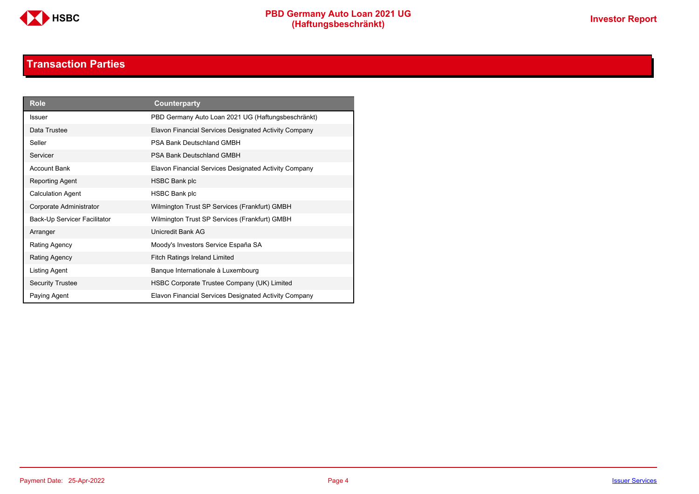

### **Transaction Parties**

<span id="page-3-0"></span>

| <b>Role</b>                  | Counterparty                                          |
|------------------------------|-------------------------------------------------------|
| <b>Issuer</b>                | PBD Germany Auto Loan 2021 UG (Haftungsbeschränkt)    |
| Data Trustee                 | Elavon Financial Services Designated Activity Company |
| Seller                       | PSA Bank Deutschland GMBH                             |
| Servicer                     | PSA Bank Deutschland GMBH                             |
| <b>Account Bank</b>          | Elavon Financial Services Designated Activity Company |
| Reporting Agent              | <b>HSBC Bank plc</b>                                  |
| <b>Calculation Agent</b>     | <b>HSBC Bank plc</b>                                  |
| Corporate Administrator      | Wilmington Trust SP Services (Frankfurt) GMBH         |
| Back-Up Servicer Facilitator | Wilmington Trust SP Services (Frankfurt) GMBH         |
| Arranger                     | Unicredit Bank AG                                     |
| Rating Agency                | Moody's Investors Service España SA                   |
| Rating Agency                | <b>Fitch Ratings Ireland Limited</b>                  |
| Listing Agent                | Banque Internationale à Luxembourg                    |
| <b>Security Trustee</b>      | HSBC Corporate Trustee Company (UK) Limited           |
| Paying Agent                 | Elavon Financial Services Designated Activity Company |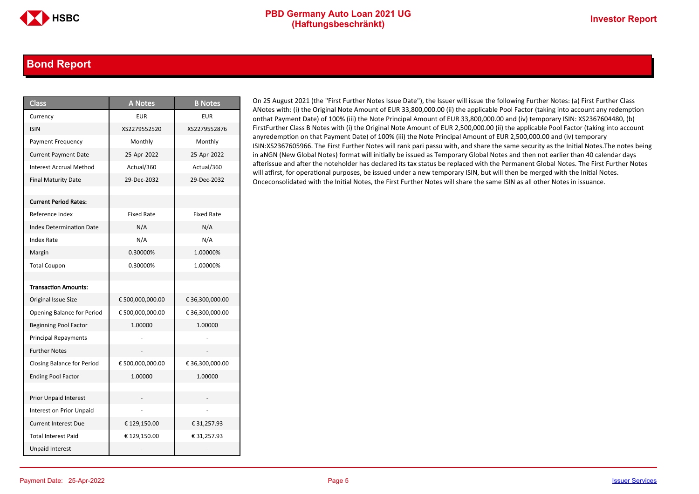### <span id="page-4-0"></span>**Bond Report**

| <b>Class</b>                      | <b>A Notes</b>    | <b>B</b> Notes    |
|-----------------------------------|-------------------|-------------------|
| Currency                          | <b>EUR</b>        | <b>EUR</b>        |
| <b>ISIN</b>                       | XS2279552520      | XS2279552876      |
| Payment Frequency                 | Monthly           | Monthly           |
| <b>Current Payment Date</b>       | 25-Apr-2022       | 25-Apr-2022       |
| <b>Interest Accrual Method</b>    | Actual/360        | Actual/360        |
| <b>Final Maturity Date</b>        | 29-Dec-2032       | 29-Dec-2032       |
|                                   |                   |                   |
| <b>Current Period Rates:</b>      |                   |                   |
| Reference Index                   | <b>Fixed Rate</b> | <b>Fixed Rate</b> |
| <b>Index Determination Date</b>   | N/A               | N/A               |
| Index Rate                        | N/A               | N/A               |
| Margin                            | 0.30000%          | 1.00000%          |
| <b>Total Coupon</b>               | 0.30000%          | 1.00000%          |
|                                   |                   |                   |
| <b>Transaction Amounts:</b>       |                   |                   |
| Original Issue Size               | € 500,000,000.00  | € 36,300,000.00   |
| Opening Balance for Period        | € 500,000,000.00  | € 36,300,000.00   |
| <b>Beginning Pool Factor</b>      | 1.00000           | 1.00000           |
| <b>Principal Repayments</b>       |                   |                   |
| <b>Further Notes</b>              |                   |                   |
| <b>Closing Balance for Period</b> | € 500,000,000.00  | € 36,300,000.00   |
| <b>Ending Pool Factor</b>         | 1.00000           | 1.00000           |
|                                   |                   |                   |
| <b>Prior Unpaid Interest</b>      |                   |                   |
| <b>Interest on Prior Unpaid</b>   |                   |                   |
| <b>Current Interest Due</b>       | € 129,150.00      | € 31,257.93       |
| <b>Total Interest Paid</b>        | € 129,150.00      | € 31,257.93       |
| <b>Unpaid Interest</b>            |                   |                   |

On 25 August 2021 (the "First Further Notes Issue Date"), the Issuer will issue the following Further Notes: (a) First Further Class ANotes with: (i) the Original Note Amount of EUR 33,800,000.00 (ii) the applicable Pool Factor (taking into account any redemption onthat Payment Date) of 100% (iii) the Note Principal Amount of EUR 33,800,000.00 and (iv) temporary ISIN: XS2367604480, (b) FirstFurther Class B Notes with (i) the Original Note Amount of EUR 2,500,000.00 (ii) the applicable Pool Factor (taking into account anyredemption on that Payment Date) of 100% (iii) the Note Principal Amount of EUR 2,500,000.00 and (iv) temporary ISIN:XS2367605966. The First Further Notes will rank pari passu with, and share the same security as the Initial Notes.The notes being in aNGN (New Global Notes) format will initially be issued as Temporary Global Notes and then not earlier than 40 calendar days afterissue and after the noteholder has declared its tax status be replaced with the Permanent Global Notes. The First Further Notes will atfirst, for operational purposes, be issued under a new temporary ISIN, but will then be merged with the Initial Notes. Onceconsolidated with the Initial Notes, the First Further Notes will share the same ISIN as all other Notes in issuance.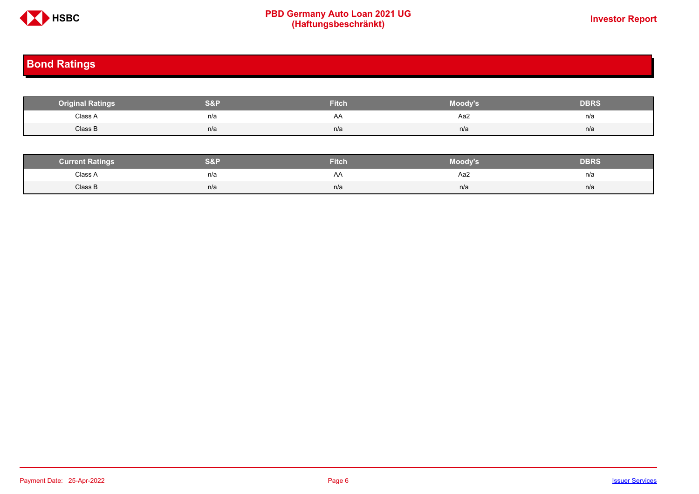

# **PBD Germany Auto Loan 2021 UG**<br>
(Haftungsbeschränkt)<br>
This area of the CHSD CHA (Haftungsbeschränkt)

# <span id="page-5-0"></span>**Bond Ratings**

| <b>Original Ratings</b> | S&F | <b>Fitch</b> | Moody's | <b>DBRS</b> |
|-------------------------|-----|--------------|---------|-------------|
| Class A<br>.            | n/a | AA           | Aa2     | n/a         |
| Class B                 | n/a | n/a          | n/a     | n/a         |

| <b><i>Surrent Ratings</i></b> | 0.91<br>>I≏∃i | <b>Fitch</b> | Moody's | DERS. |
|-------------------------------|---------------|--------------|---------|-------|
| Class A<br>.                  | n/a           | A۴           | Aa2     | n/a   |
| Class B                       | n/a           | n/a          | n/a     | n/a   |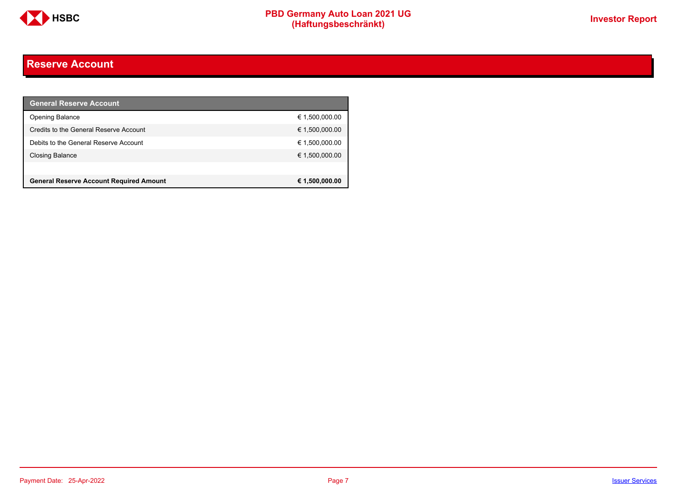

### <span id="page-6-0"></span>**Reserve Account**

| <b>General Reserve Account</b>                 |                |
|------------------------------------------------|----------------|
| <b>Opening Balance</b>                         | € 1,500,000.00 |
| Credits to the General Reserve Account         | € 1,500,000.00 |
| Debits to the General Reserve Account          | € 1,500,000.00 |
| Closing Balance                                | € 1,500,000.00 |
|                                                |                |
| <b>General Reserve Account Required Amount</b> | € 1,500,000.00 |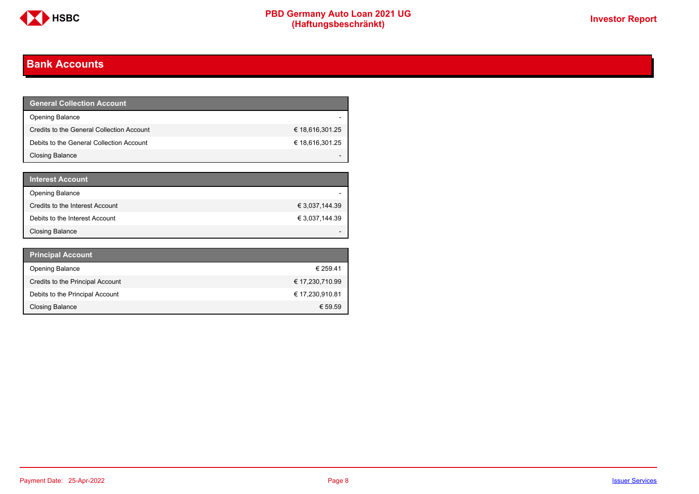

### <span id="page-7-0"></span>**Bank Accounts**

| <b>General Collection Account</b>         |                 |
|-------------------------------------------|-----------------|
| <b>Opening Balance</b>                    |                 |
| Credits to the General Collection Account | € 18,616,301.25 |
| Debits to the General Collection Account  | € 18,616,301.25 |
| Closing Balance                           |                 |

| <b>Interest Account</b>         |                |
|---------------------------------|----------------|
| <b>Opening Balance</b>          |                |
| Credits to the Interest Account | € 3,037,144.39 |
| Debits to the Interest Account  | € 3,037,144.39 |
| <b>Closing Balance</b>          |                |

| <b>Principal Account</b>         |                 |
|----------------------------------|-----------------|
| <b>Opening Balance</b>           | € 259.41        |
| Credits to the Principal Account | € 17,230,710.99 |
| Debits to the Principal Account  | € 17,230,910.81 |
| <b>Closing Balance</b>           | € 59.59         |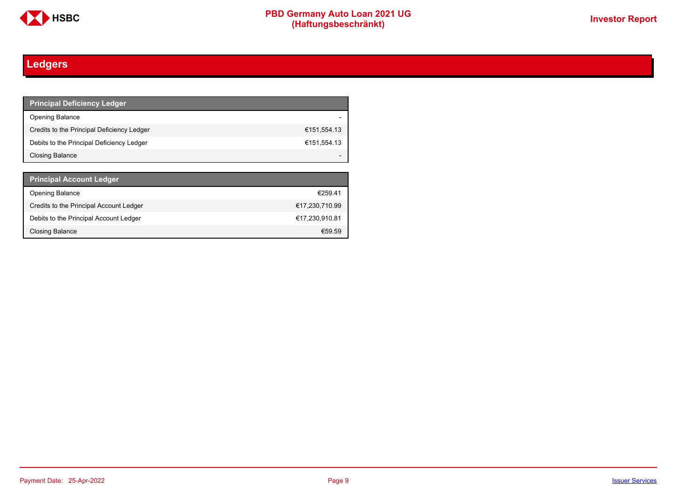

# <span id="page-8-0"></span>**Ledgers**

| <b>Principal Deficiency Ledger</b>         |             |
|--------------------------------------------|-------------|
| <b>Opening Balance</b>                     |             |
| Credits to the Principal Deficiency Ledger | €151.554.13 |
| Debits to the Principal Deficiency Ledger  | €151,554.13 |
| Closing Balance                            |             |

| <b>Principal Account Ledger</b>         |                |
|-----------------------------------------|----------------|
| <b>Opening Balance</b>                  | €259.41        |
| Credits to the Principal Account Ledger | €17,230,710.99 |
| Debits to the Principal Account Ledger  | €17,230,910.81 |
| Closing Balance                         | €59.59         |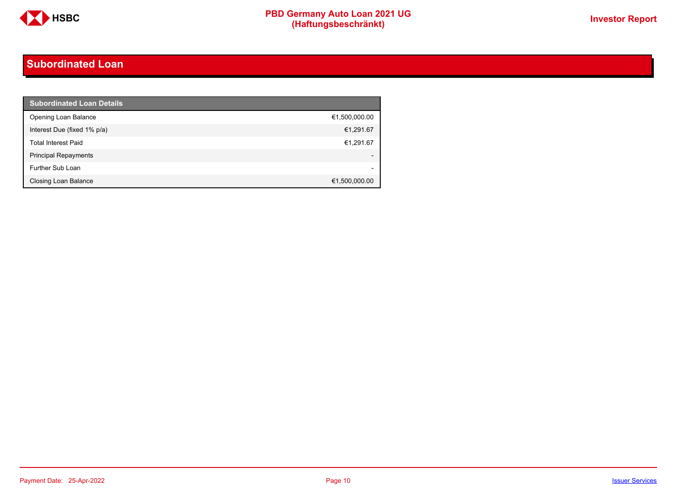

### <span id="page-9-0"></span>**Subordinated Loan**

| <b>Subordinated Loan Details</b> |                          |
|----------------------------------|--------------------------|
| Opening Loan Balance             | €1,500,000.00            |
| Interest Due (fixed 1% p/a)      | €1,291.67                |
| <b>Total Interest Paid</b>       | €1,291.67                |
| <b>Principal Repayments</b>      |                          |
| Further Sub Loan                 | $\overline{\phantom{0}}$ |
| Closing Loan Balance             | €1,500,000.00            |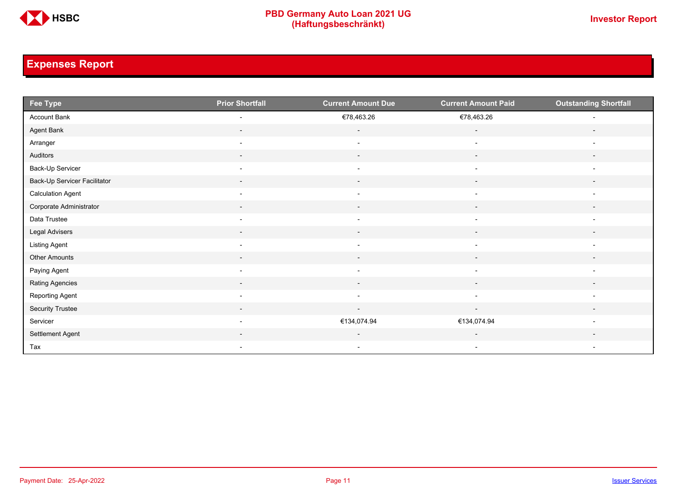

# <span id="page-10-0"></span>**Expenses Report**

| Fee Type                     | <b>Prior Shortfall</b>   | <b>Current Amount Due</b> | <b>Current Amount Paid</b> | <b>Outstanding Shortfall</b> |
|------------------------------|--------------------------|---------------------------|----------------------------|------------------------------|
| Account Bank                 | $\overline{\phantom{a}}$ | €78,463.26                | €78,463.26                 | $\overline{\phantom{a}}$     |
| Agent Bank                   | $\overline{\phantom{a}}$ | $\overline{\phantom{a}}$  | $\overline{\phantom{a}}$   | $\overline{\phantom{a}}$     |
| Arranger                     | $\overline{\phantom{a}}$ | $\overline{\phantom{a}}$  | $\overline{\phantom{a}}$   | $\overline{\phantom{a}}$     |
| Auditors                     | $\sim$                   | $\sim$                    | $\sim$                     | $\overline{\phantom{a}}$     |
| Back-Up Servicer             | $\overline{\phantom{a}}$ | $\overline{\phantom{a}}$  | $\overline{\phantom{a}}$   | $\overline{\phantom{a}}$     |
| Back-Up Servicer Facilitator | $\overline{\phantom{a}}$ | $\overline{\phantom{a}}$  | $\overline{\phantom{a}}$   | $\overline{\phantom{a}}$     |
| <b>Calculation Agent</b>     | $\overline{\phantom{a}}$ | $\overline{\phantom{a}}$  | $\blacksquare$             | $\overline{\phantom{a}}$     |
| Corporate Administrator      | $\sim$                   | $\sim$                    | $\sim$                     | $\overline{\phantom{a}}$     |
| Data Trustee                 | $\overline{\phantom{a}}$ | $\overline{\phantom{a}}$  | $\overline{\phantom{a}}$   | $\overline{\phantom{a}}$     |
| Legal Advisers               | $\overline{\phantom{a}}$ | $\sim$                    | $\sim$                     | $\overline{\phantom{a}}$     |
| Listing Agent                | $\overline{\phantom{a}}$ | $\overline{\phantom{a}}$  | $\overline{\phantom{a}}$   | $\overline{\phantom{a}}$     |
| Other Amounts                | $\overline{\phantom{a}}$ | $\overline{\phantom{a}}$  | $\overline{\phantom{a}}$   | $\overline{\phantom{a}}$     |
| Paying Agent                 | $\overline{\phantom{a}}$ | $\overline{\phantom{a}}$  | $\overline{\phantom{a}}$   | $\overline{\phantom{a}}$     |
| Rating Agencies              | $\sim$                   | $\sim$                    | $\sim$                     | $\overline{\phantom{a}}$     |
| Reporting Agent              | $\overline{\phantom{a}}$ | $\overline{\phantom{a}}$  | $\overline{\phantom{a}}$   | $\overline{\phantom{a}}$     |
| Security Trustee             | $\sim$                   | $\sim$                    | $\sim$                     | $\overline{\phantom{a}}$     |
| Servicer                     | $\overline{\phantom{a}}$ | €134,074.94               | €134,074.94                | $\overline{\phantom{a}}$     |
| Settlement Agent             |                          | $\overline{\phantom{a}}$  | $\overline{\phantom{a}}$   |                              |
| Tax                          | $\overline{\phantom{a}}$ | $\overline{\phantom{a}}$  | $\overline{\phantom{a}}$   | $\overline{\phantom{a}}$     |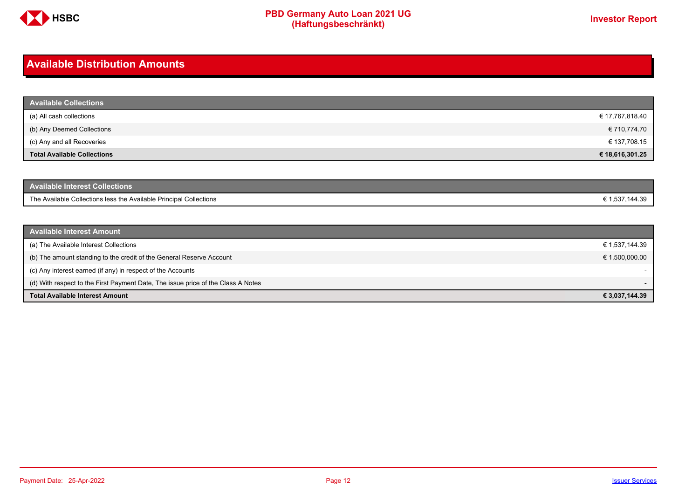

### <span id="page-11-0"></span>**Available Distribution Amounts**

| <b>Available Collections</b>       |                 |
|------------------------------------|-----------------|
| (a) All cash collections           | € 17,767,818.40 |
| (b) Any Deemed Collections         | € 710,774.70    |
| (c) Any and all Recoveries         | € 137,708.15    |
| <b>Total Available Collections</b> | € 18,616,301.25 |

| <b>Available Interest Collections</b>                              |              |
|--------------------------------------------------------------------|--------------|
| The Available Collections less the Available Principal Collections | 1,537,144.39 |

| <b>Available Interest Amount</b>                                                 |                |
|----------------------------------------------------------------------------------|----------------|
| (a) The Available Interest Collections                                           | € 1,537,144.39 |
| (b) The amount standing to the credit of the General Reserve Account             | € 1,500,000.00 |
| (c) Any interest earned (if any) in respect of the Accounts                      |                |
| (d) With respect to the First Payment Date, The issue price of the Class A Notes |                |
| <b>Total Available Interest Amount</b>                                           | € 3,037,144.39 |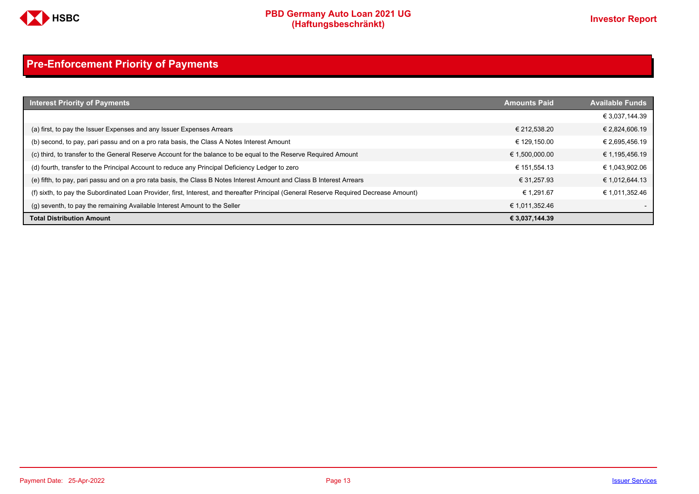

# <span id="page-12-0"></span>**Pre-Enforcement Priority of Payments**

| <b>Interest Priority of Payments</b>                                                                                                   | <b>Amounts Paid</b> | <b>Available Funds</b> |
|----------------------------------------------------------------------------------------------------------------------------------------|---------------------|------------------------|
|                                                                                                                                        |                     | € 3,037,144.39         |
| (a) first, to pay the Issuer Expenses and any Issuer Expenses Arrears                                                                  | € 212.538.20        | € 2,824,606.19         |
| (b) second, to pay, pari passu and on a pro rata basis, the Class A Notes Interest Amount                                              | € 129.150.00        | € 2,695,456.19         |
| (c) third, to transfer to the General Reserve Account for the balance to be equal to the Reserve Required Amount                       | € 1,500,000.00      | € 1,195,456.19         |
| (d) fourth, transfer to the Principal Account to reduce any Principal Deficiency Ledger to zero                                        | € 151.554.13        | € 1,043,902.06         |
| (e) fifth, to pay, pari passu and on a pro rata basis, the Class B Notes Interest Amount and Class B Interest Arrears                  | € 31.257.93         | € 1,012,644.13         |
| (f) sixth, to pay the Subordinated Loan Provider, first, Interest, and thereafter Principal (General Reserve Required Decrease Amount) | € 1.291.67          | € 1.011.352.46         |
| (g) seventh, to pay the remaining Available Interest Amount to the Seller                                                              | € 1,011,352.46      |                        |
| <b>Total Distribution Amount</b>                                                                                                       | € 3,037,144.39      |                        |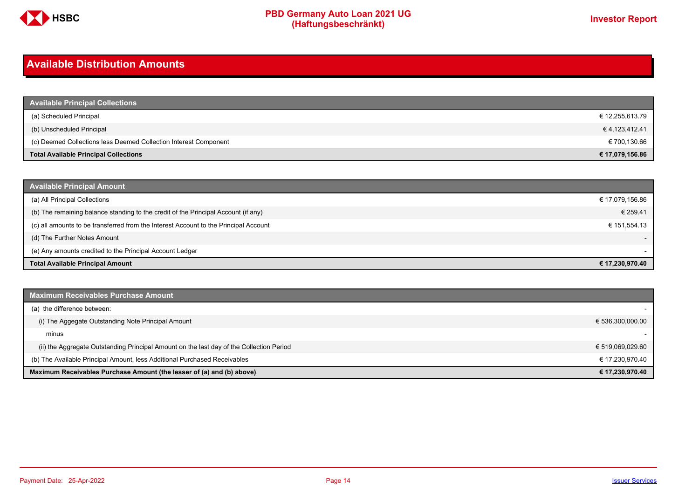

### <span id="page-13-0"></span>**Available Distribution Amounts**

| <b>Available Principal Collections</b>                           |                 |
|------------------------------------------------------------------|-----------------|
| (a) Scheduled Principal                                          | € 12,255,613.79 |
| (b) Unscheduled Principal                                        | €4,123,412.41   |
| (c) Deemed Collections less Deemed Collection Interest Component | € 700,130.66    |
| <b>Total Available Principal Collections</b>                     | € 17,079,156.86 |

| <b>Available Principal Amount</b>                                                    |                          |
|--------------------------------------------------------------------------------------|--------------------------|
| (a) All Principal Collections                                                        | € 17,079,156.86          |
| (b) The remaining balance standing to the credit of the Principal Account (if any)   | € 259.41                 |
| (c) all amounts to be transferred from the Interest Account to the Principal Account | € 151,554.13             |
| (d) The Further Notes Amount                                                         | $\overline{\phantom{a}}$ |
| (e) Any amounts credited to the Principal Account Ledger                             |                          |
| <b>Total Available Principal Amount</b>                                              | € 17,230,970.40          |

| <b>Maximum Receivables Purchase Amount</b>                                               |                  |
|------------------------------------------------------------------------------------------|------------------|
| (a) the difference between:                                                              |                  |
| (i) The Aggegate Outstanding Note Principal Amount                                       | € 536,300,000.00 |
| minus                                                                                    |                  |
| (ii) the Aggregate Outstanding Principal Amount on the last day of the Collection Period | € 519,069,029.60 |
| (b) The Available Principal Amount, less Additional Purchased Receivables                | € 17,230,970.40  |
| Maximum Receivables Purchase Amount (the lesser of (a) and (b) above)                    | € 17,230,970.40  |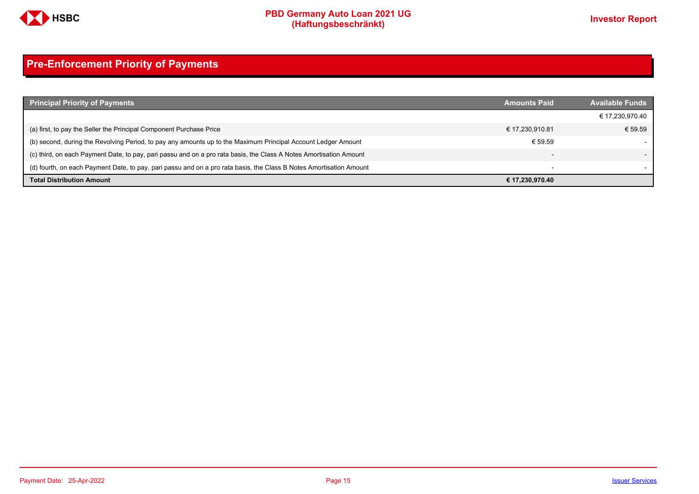

# <span id="page-14-0"></span>**Pre-Enforcement Priority of Payments**

| <b>Principal Priority of Payments</b>                                                                               | <b>Amounts Paid</b>      | <b>Available Funds</b> |
|---------------------------------------------------------------------------------------------------------------------|--------------------------|------------------------|
|                                                                                                                     |                          | € 17,230,970.40        |
| (a) first, to pay the Seller the Principal Component Purchase Price                                                 | € 17,230,910.81          | € 59.59                |
| (b) second, during the Revolving Period, to pay any amounts up to the Maximum Principal Account Ledger Amount       | € 59.59                  |                        |
| (c) third, on each Payment Date, to pay, pari passu and on a pro rata basis, the Class A Notes Amortisation Amount  |                          |                        |
| (d) fourth, on each Payment Date, to pay, pari passu and on a pro rata basis, the Class B Notes Amortisation Amount | $\overline{\phantom{0}}$ |                        |
| <b>Total Distribution Amount</b>                                                                                    | € 17,230,970.40          |                        |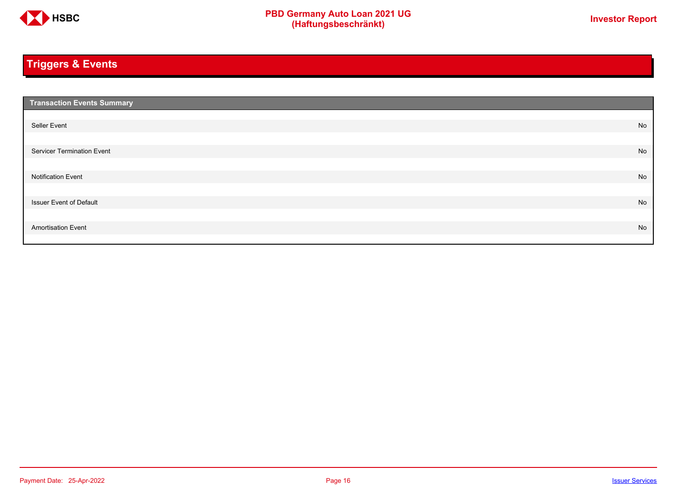

# <span id="page-15-0"></span>**Triggers & Events**

| <b>Transaction Events Summary</b> |    |
|-----------------------------------|----|
|                                   |    |
| Seller Event                      | No |
|                                   |    |
| Servicer Termination Event        | No |
|                                   |    |
| <b>Notification Event</b>         | No |
|                                   |    |
| <b>Issuer Event of Default</b>    | No |
|                                   |    |
| <b>Amortisation Event</b>         | No |
|                                   |    |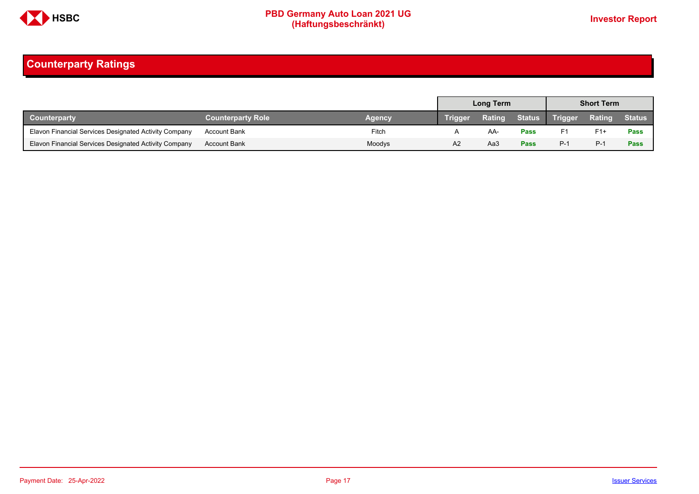

# <span id="page-16-0"></span>**Counterparty Ratings**

|                                                       |                          |        | <b>Long Term</b> |        |             | <b>Short Term</b> |               |               |
|-------------------------------------------------------|--------------------------|--------|------------------|--------|-------------|-------------------|---------------|---------------|
| Counterparty                                          | <b>Counterparty Role</b> | Agency | Trigger          | Rating |             | Status Trigger    | <b>Rating</b> | <b>Status</b> |
| Elavon Financial Services Designated Activity Company | Account Bank             | Fitch  |                  | AA-    | Pass        | F1                | $F1+$         | Pass          |
| Elavon Financial Services Designated Activity Company | <b>Account Bank</b>      | Moodys | A2               | Aa3    | <b>Pass</b> | $P-1$             | $P-1$         | Pass          |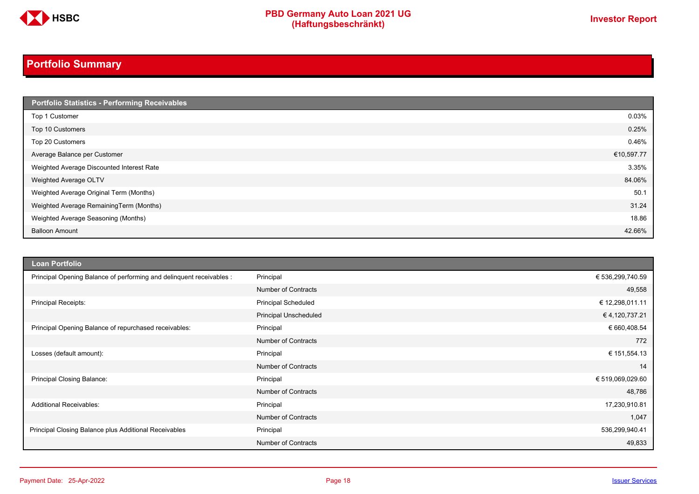

# <span id="page-17-0"></span>**Portfolio Summary**

| Portfolio Statistics - Performing Receivables |            |
|-----------------------------------------------|------------|
| Top 1 Customer                                | 0.03%      |
| Top 10 Customers                              | 0.25%      |
| Top 20 Customers                              | 0.46%      |
| Average Balance per Customer                  | €10,597.77 |
| Weighted Average Discounted Interest Rate     | 3.35%      |
| Weighted Average OLTV                         | 84.06%     |
| Weighted Average Original Term (Months)       | 50.1       |
| Weighted Average RemainingTerm (Months)       | 31.24      |
| Weighted Average Seasoning (Months)           | 18.86      |
| <b>Balloon Amount</b>                         | 42.66%     |

| <b>Loan Portfolio</b>                                                |                            |                  |
|----------------------------------------------------------------------|----------------------------|------------------|
| Principal Opening Balance of performing and delinquent receivables : | Principal                  | € 536,299,740.59 |
|                                                                      | <b>Number of Contracts</b> | 49,558           |
| Principal Receipts:                                                  | Principal Scheduled        | € 12,298,011.11  |
|                                                                      | Principal Unscheduled      | € 4,120,737.21   |
| Principal Opening Balance of repurchased receivables:                | Principal                  | € 660,408.54     |
|                                                                      | <b>Number of Contracts</b> | 772              |
| Losses (default amount):                                             | Principal                  | € 151,554.13     |
|                                                                      | <b>Number of Contracts</b> | 14               |
| Principal Closing Balance:                                           | Principal                  | € 519,069,029.60 |
|                                                                      | <b>Number of Contracts</b> | 48,786           |
| <b>Additional Receivables:</b>                                       | Principal                  | 17,230,910.81    |
|                                                                      | <b>Number of Contracts</b> | 1,047            |
| Principal Closing Balance plus Additional Receivables                | Principal                  | 536,299,940.41   |
|                                                                      | <b>Number of Contracts</b> | 49,833           |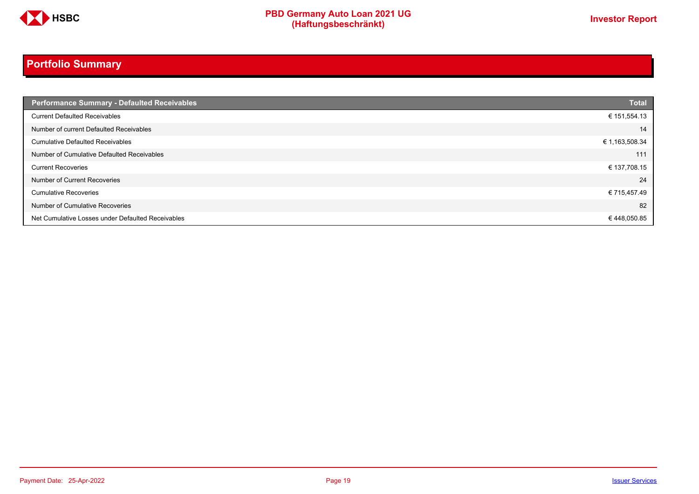

# **Portfolio Summary**

| <b>Performance Summary - Defaulted Receivables</b> | <b>Total</b>   |
|----------------------------------------------------|----------------|
| <b>Current Defaulted Receivables</b>               | € 151,554.13   |
| Number of current Defaulted Receivables            | 14             |
| <b>Cumulative Defaulted Receivables</b>            | € 1,163,508.34 |
| Number of Cumulative Defaulted Receivables         | 111            |
| <b>Current Recoveries</b>                          | € 137,708.15   |
| Number of Current Recoveries                       | 24             |
| <b>Cumulative Recoveries</b>                       | € 715,457.49   |
| Number of Cumulative Recoveries                    | 82             |
| Net Cumulative Losses under Defaulted Receivables  | €448,050.85    |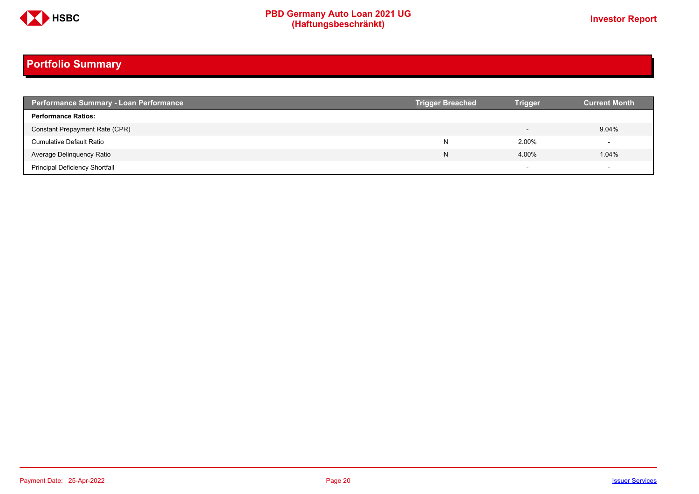

# **Portfolio Summary**

| <b>Performance Summary - Loan Performance</b> | <b>Trigger Breached</b> | <b>Trigger</b>           | <b>Current Month</b>     |
|-----------------------------------------------|-------------------------|--------------------------|--------------------------|
| <b>Performance Ratios:</b>                    |                         |                          |                          |
| Constant Prepayment Rate (CPR)                |                         |                          | 9.04%                    |
| <b>Cumulative Default Ratio</b>               | N                       | 2.00%                    |                          |
| Average Delinquency Ratio                     | N                       | 4.00%                    | 1.04%                    |
| <b>Principal Deficiency Shortfall</b>         |                         | $\overline{\phantom{0}}$ | $\overline{\phantom{a}}$ |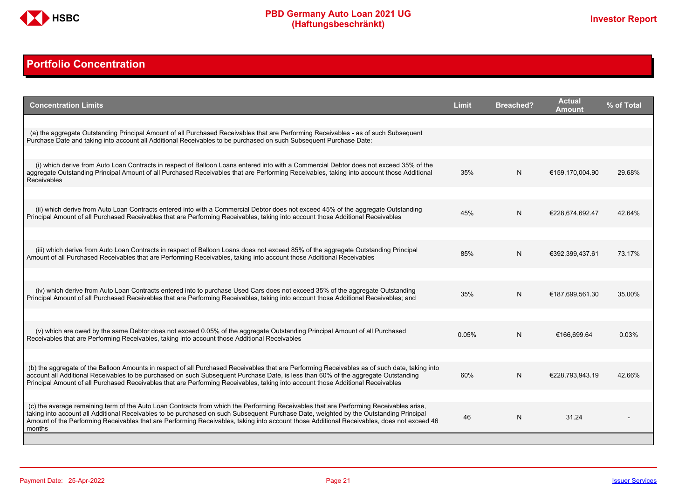

### <span id="page-20-0"></span>**Portfolio Concentration**

| <b>Concentration Limits</b>                                                                                                                                                                                                                                                                                                                                                                                                              | <b>Limit</b> | <b>Breached?</b> | <b>Actual</b><br>Amount | % of Total |
|------------------------------------------------------------------------------------------------------------------------------------------------------------------------------------------------------------------------------------------------------------------------------------------------------------------------------------------------------------------------------------------------------------------------------------------|--------------|------------------|-------------------------|------------|
| (a) the aggregate Outstanding Principal Amount of all Purchased Receivables that are Performing Receivables - as of such Subsequent<br>Purchase Date and taking into account all Additional Receivables to be purchased on such Subsequent Purchase Date:                                                                                                                                                                                |              |                  |                         |            |
| (i) which derive from Auto Loan Contracts in respect of Balloon Loans entered into with a Commercial Debtor does not exceed 35% of the                                                                                                                                                                                                                                                                                                   |              |                  |                         |            |
| aggregate Outstanding Principal Amount of all Purchased Receivables that are Performing Receivables, taking into account those Additional<br><b>Receivables</b>                                                                                                                                                                                                                                                                          | 35%          | N                | €159.170.004.90         | 29.68%     |
|                                                                                                                                                                                                                                                                                                                                                                                                                                          |              |                  |                         |            |
| (ii) which derive from Auto Loan Contracts entered into with a Commercial Debtor does not exceed 45% of the aggregate Outstanding<br>Principal Amount of all Purchased Receivables that are Performing Receivables, taking into account those Additional Receivables                                                                                                                                                                     | 45%          | N.               | €228.674.692.47         | 42.64%     |
|                                                                                                                                                                                                                                                                                                                                                                                                                                          |              |                  |                         |            |
| (iii) which derive from Auto Loan Contracts in respect of Balloon Loans does not exceed 85% of the aggregate Outstanding Principal<br>Amount of all Purchased Receivables that are Performing Receivables, taking into account those Additional Receivables                                                                                                                                                                              | 85%          | N                | €392,399,437.61         | 73.17%     |
|                                                                                                                                                                                                                                                                                                                                                                                                                                          |              |                  |                         |            |
| (iv) which derive from Auto Loan Contracts entered into to purchase Used Cars does not exceed 35% of the aggregate Outstanding<br>Principal Amount of all Purchased Receivables that are Performing Receivables, taking into account those Additional Receivables; and                                                                                                                                                                   | 35%          | N                | €187.699.561.30         | 35.00%     |
|                                                                                                                                                                                                                                                                                                                                                                                                                                          |              |                  |                         |            |
| (v) which are owed by the same Debtor does not exceed 0.05% of the aggregate Outstanding Principal Amount of all Purchased<br>Receivables that are Performing Receivables, taking into account those Additional Receivables                                                                                                                                                                                                              | 0.05%        | N                | €166.699.64             | 0.03%      |
|                                                                                                                                                                                                                                                                                                                                                                                                                                          |              |                  |                         |            |
| (b) the aggregate of the Balloon Amounts in respect of all Purchased Receivables that are Performing Receivables as of such date, taking into<br>account all Additional Receivables to be purchased on such Subsequent Purchase Date, is less than 60% of the aggregate Outstanding<br>Principal Amount of all Purchased Receivables that are Performing Receivables, taking into account those Additional Receivables                   | 60%          | N                | €228,793,943.19         | 42.66%     |
|                                                                                                                                                                                                                                                                                                                                                                                                                                          |              |                  |                         |            |
| (c) the average remaining term of the Auto Loan Contracts from which the Performing Receivables that are Performing Receivables arise.<br>taking into account all Additional Receivables to be purchased on such Subsequent Purchase Date, weighted by the Outstanding Principal<br>Amount of the Performing Receivables that are Performing Receivables, taking into account those Additional Receivables, does not exceed 46<br>months | 46           | N                | 31.24                   |            |
|                                                                                                                                                                                                                                                                                                                                                                                                                                          |              |                  |                         |            |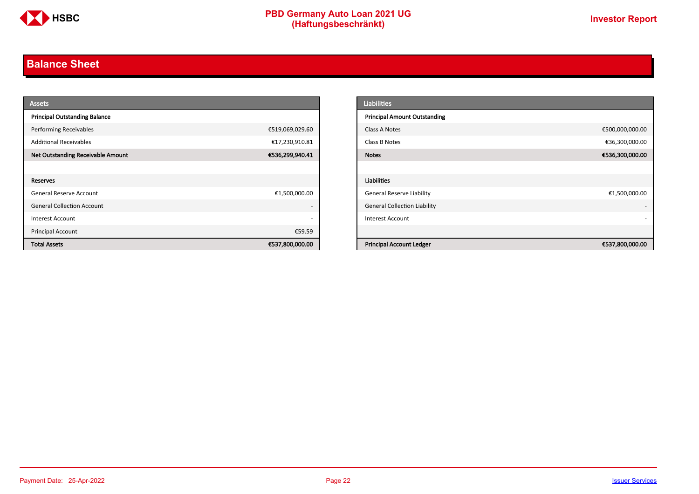

# <span id="page-21-0"></span>**Balance Sheet**

| <b>Assets</b>                            |                          | <b>Liabilities</b>                                 |
|------------------------------------------|--------------------------|----------------------------------------------------|
| <b>Principal Outstanding Balance</b>     |                          | <b>Principal Amount Outstanding</b>                |
| <b>Performing Receivables</b>            | €519,069,029.60          | €500,000,000.00<br>Class A Notes                   |
| <b>Additional Receivables</b>            | €17,230,910.81           | €36,300,000.00<br>Class B Notes                    |
| <b>Net Outstanding Receivable Amount</b> | €536,299,940.41          | €536,300,000.00<br><b>Notes</b>                    |
|                                          |                          |                                                    |
| <b>Reserves</b>                          |                          | Liabilities                                        |
| General Reserve Account                  | €1,500,000.00            | <b>General Reserve Liability</b><br>€1,500,000.00  |
| <b>General Collection Account</b>        |                          | <b>General Collection Liability</b>                |
| Interest Account                         | $\overline{\phantom{0}}$ | <b>Interest Account</b>                            |
| Principal Account                        | €59.59                   |                                                    |
| <b>Total Assets</b>                      | €537,800,000.00          | <b>Principal Account Ledger</b><br>€537,800,000.00 |

| <b>Liabilities</b>                  |                 |
|-------------------------------------|-----------------|
| <b>Principal Amount Outstanding</b> |                 |
| Class A Notes                       | €500,000,000.00 |
| Class B Notes                       | €36,300,000.00  |
| <b>Notes</b>                        | €536,300,000.00 |
|                                     |                 |
| <b>Liabilities</b>                  |                 |
| <b>General Reserve Liability</b>    | €1,500,000.00   |
| <b>General Collection Liability</b> | ٠               |
| <b>Interest Account</b>             |                 |
|                                     |                 |
| <b>Principal Account Ledger</b>     | €537,800,000.00 |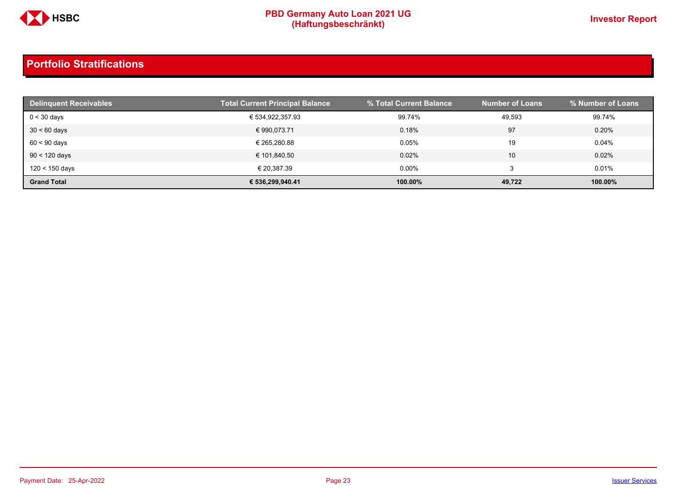

| <b>Delinquent Receivables</b> | <b>Total Current Principal Balance</b> | % Total Current Balance | <b>Number of Loans</b> | % Number of Loans |
|-------------------------------|----------------------------------------|-------------------------|------------------------|-------------------|
| $0 < 30$ days                 | € 534,922,357.93                       | 99.74%                  | 49,593                 | 99.74%            |
| $30 < 60$ days                | € 990.073.71                           | 0.18%                   | 97                     | 0.20%             |
| $60 < 90$ days                | € 265.280.88                           | 0.05%                   | 19                     | $0.04\%$          |
| $90 < 120$ days               | € 101,840.50                           | 0.02%                   | 10                     | 0.02%             |
| 120 < 150 days                | € 20,387.39                            | $0.00\%$                |                        | 0.01%             |
| <b>Grand Total</b>            | € 536.299.940.41                       | 100.00%                 | 49,722                 | 100.00%           |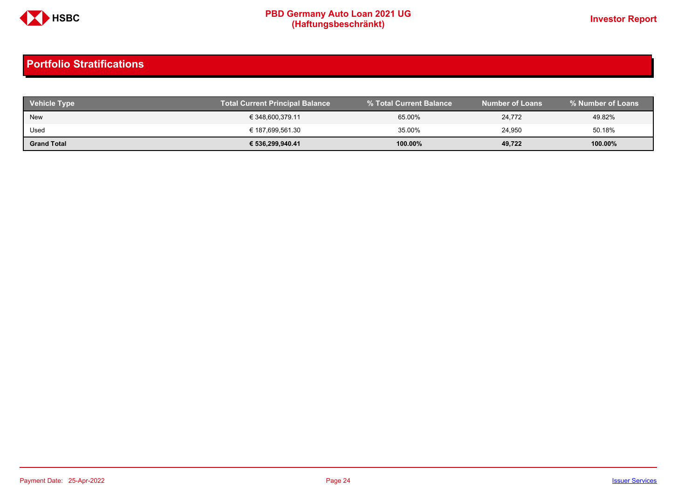

| <b>Vehicle Type</b> | Total Current Principal Balance | % Total Current Balance | <b>Number of Loans</b> | % Number of Loans |
|---------------------|---------------------------------|-------------------------|------------------------|-------------------|
| <b>New</b>          | € 348,600,379.11                | 65.00%                  | 24.772                 | 49.82%            |
| Used                | € 187,699,561.30                | 35.00%                  | 24,950                 | 50.18%            |
| <b>Grand Total</b>  | € 536,299,940.41                | $100.00\%$              | 49.722                 | 100.00%           |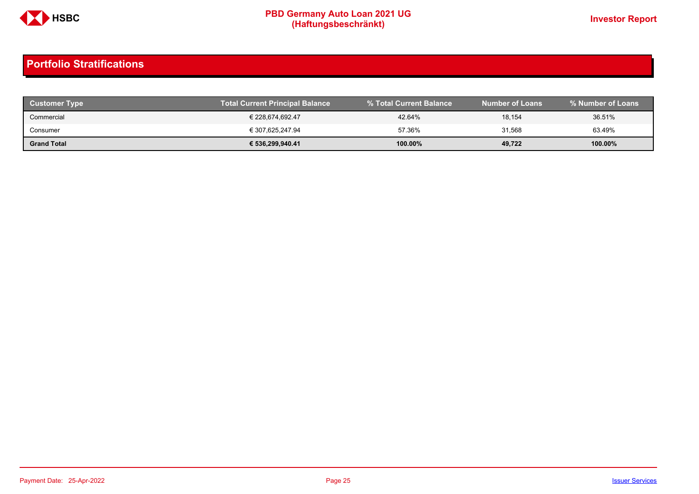

| <b>Customer Type</b> | <b>Total Current Principal Balance</b> |         | Number of Loans | % Number of Loans |
|----------------------|----------------------------------------|---------|-----------------|-------------------|
| Commercial           | € 228.674.692.47                       | 42.64%  | 18,154          | 36.51%            |
| Consumer             | € 307.625.247.94                       | 57.36%  | 31,568          | 63.49%            |
| <b>Grand Total</b>   | € 536,299,940.41                       | 100.00% | 49,722          | 100.00%           |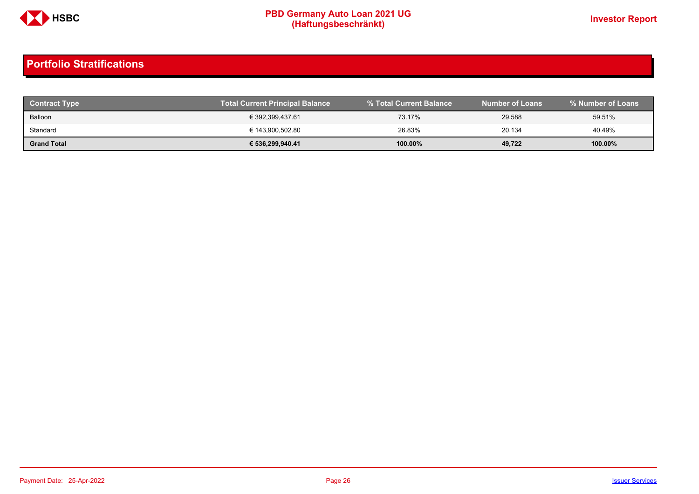

| <b>Contract Type</b> | <b>Total Current Principal Balance</b> |            | <b>Number of Loans</b> | % Number of Loans |
|----------------------|----------------------------------------|------------|------------------------|-------------------|
| Balloon              | € 392,399,437.61                       | 73.17%     | 29,588                 | 59.51%            |
| Standard             | € 143,900,502.80                       | 26.83%     | 20.134                 | 40.49%            |
| <b>Grand Total</b>   | € 536,299,940.41                       | $100.00\%$ | 49,722                 | 100.00%           |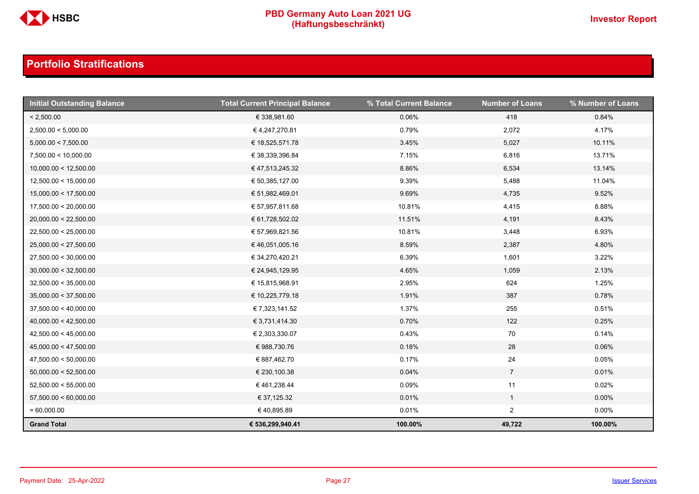

| <b>Initial Outstanding Balance</b> | <b>Total Current Principal Balance</b> | % Total Current Balance | <b>Number of Loans</b> | % Number of Loans |
|------------------------------------|----------------------------------------|-------------------------|------------------------|-------------------|
| < 2,500.00                         | € 338,981.60                           | 0.06%                   | 418                    | 0.84%             |
| 2,500.00 < 5,000.00                | €4,247,270.81                          | 0.79%                   | 2,072                  | 4.17%             |
| 5,000.00 < 7,500.00                | € 18,525,571.78                        | 3.45%                   | 5,027                  | 10.11%            |
| 7,500.00 < 10,000.00               | € 38,339,396.84                        | 7.15%                   | 6,816                  | 13.71%            |
| 10,000.00 < 12,500.00              | € 47,513,245.32                        | 8.86%                   | 6,534                  | 13.14%            |
| 12,500.00 < 15,000.00              | € 50,385,127.00                        | 9.39%                   | 5,488                  | 11.04%            |
| 15,000.00 < 17,500.00              | € 51,982,469.01                        | 9.69%                   | 4,735                  | 9.52%             |
| 17,500.00 < 20,000.00              | € 57,957,811.68                        | 10.81%                  | 4,415                  | 8.88%             |
| 20,000.00 < 22,500.00              | € 61,728,502.02                        | 11.51%                  | 4,191                  | 8.43%             |
| 22,500.00 < 25,000.00              | € 57,969,821.56                        | 10.81%                  | 3,448                  | 6.93%             |
| 25,000.00 < 27,500.00              | € 46,051,005.16                        | 8.59%                   | 2,387                  | 4.80%             |
| 27,500.00 < 30,000.00              | € 34,270,420.21                        | 6.39%                   | 1,601                  | 3.22%             |
| 30,000.00 < 32,500.00              | € 24,945,129.95                        | 4.65%                   | 1,059                  | 2.13%             |
| 32,500.00 < 35,000.00              | € 15,815,968.91                        | 2.95%                   | 624                    | 1.25%             |
| 35,000.00 < 37,500.00              | € 10,225,779.18                        | 1.91%                   | 387                    | 0.78%             |
| 37,500.00 < 40,000.00              | € 7,323,141.52                         | 1.37%                   | 255                    | 0.51%             |
| 40,000.00 < 42,500.00              | € 3,731,414.30                         | 0.70%                   | 122                    | 0.25%             |
| 42,500.00 < 45,000.00              | € 2,303,330.07                         | 0.43%                   | 70                     | 0.14%             |
| 45,000.00 < 47,500.00              | € 988,730.76                           | 0.18%                   | 28                     | 0.06%             |
| 47,500.00 < 50,000.00              | € 887,462.70                           | 0.17%                   | 24                     | 0.05%             |
| 50,000.00 < 52,500.00              | € 230,100.38                           | 0.04%                   | $\overline{7}$         | 0.01%             |
| 52,500.00 < 55,000.00              | € 461,238.44                           | 0.09%                   | 11                     | 0.02%             |
| 57,500.00 < 60,000.00              | € 37,125.32                            | 0.01%                   | $\mathbf{1}$           | $0.00\%$          |
| $= 60,000.00$                      | €40,895.89                             | 0.01%                   | $\overline{2}$         | $0.00\%$          |
| <b>Grand Total</b>                 | € 536,299,940.41                       | 100.00%                 | 49,722                 | 100.00%           |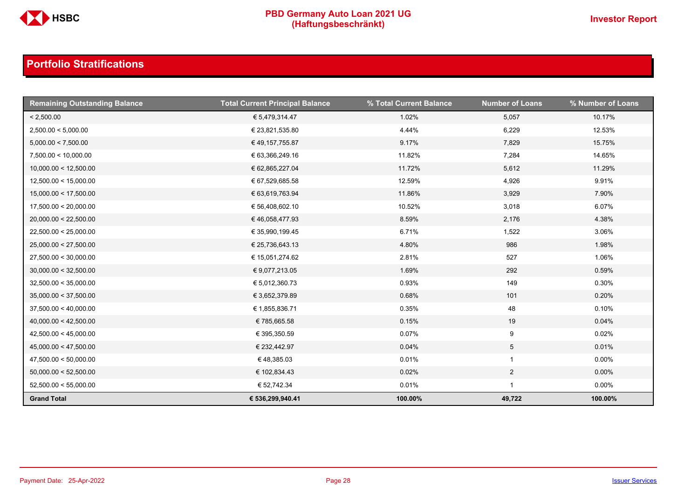

| <b>Remaining Outstanding Balance</b> | <b>Total Current Principal Balance</b> | % Total Current Balance | <b>Number of Loans</b> | % Number of Loans |
|--------------------------------------|----------------------------------------|-------------------------|------------------------|-------------------|
| < 2,500.00                           | € 5,479,314.47                         | 1.02%                   | 5,057                  | 10.17%            |
| 2,500.00 < 5,000.00                  | € 23,821,535.80                        | 4.44%                   | 6,229                  | 12.53%            |
| 5,000.00 < 7,500.00                  | € 49,157,755.87                        | 9.17%                   | 7,829                  | 15.75%            |
| 7,500.00 < 10,000.00                 | € 63,366,249.16                        | 11.82%                  | 7,284                  | 14.65%            |
| 10,000.00 < 12,500.00                | € 62,865,227.04                        | 11.72%                  | 5,612                  | 11.29%            |
| 12,500.00 < 15,000.00                | € 67,529,685.58                        | 12.59%                  | 4,926                  | 9.91%             |
| 15,000.00 < 17,500.00                | € 63,619,763.94                        | 11.86%                  | 3,929                  | 7.90%             |
| 17,500.00 < 20,000.00                | € 56,408,602.10                        | 10.52%                  | 3,018                  | 6.07%             |
| 20,000.00 < 22,500.00                | € 46,058,477.93                        | 8.59%                   | 2,176                  | 4.38%             |
| 22,500.00 < 25,000.00                | € 35,990,199.45                        | 6.71%                   | 1,522                  | 3.06%             |
| 25,000.00 < 27,500.00                | € 25,736,643.13                        | 4.80%                   | 986                    | 1.98%             |
| 27,500.00 < 30,000.00                | € 15,051,274.62                        | 2.81%                   | 527                    | 1.06%             |
| 30,000.00 < 32,500.00                | € 9,077,213.05                         | 1.69%                   | 292                    | 0.59%             |
| 32,500.00 < 35,000.00                | € 5,012,360.73                         | 0.93%                   | 149                    | 0.30%             |
| 35,000.00 < 37,500.00                | € 3,652,379.89                         | 0.68%                   | 101                    | 0.20%             |
| 37,500.00 < 40,000.00                | € 1,855,836.71                         | 0.35%                   | 48                     | 0.10%             |
| 40,000.00 < 42,500.00                | €785,665.58                            | 0.15%                   | 19                     | 0.04%             |
| 42,500.00 < 45,000.00                | € 395,350.59                           | 0.07%                   | 9                      | 0.02%             |
| 45,000.00 < 47,500.00                | € 232,442.97                           | 0.04%                   | $5\overline{)}$        | 0.01%             |
| 47,500.00 < 50,000.00                | €48,385.03                             | 0.01%                   | $\mathbf{1}$           | $0.00\%$          |
| 50,000.00 < 52,500.00                | € 102,834.43                           | 0.02%                   | $\overline{2}$         | $0.00\%$          |
| 52,500.00 < 55,000.00                | € 52,742.34                            | 0.01%                   |                        | $0.00\%$          |
| <b>Grand Total</b>                   | € 536,299,940.41                       | 100.00%                 | 49,722                 | 100.00%           |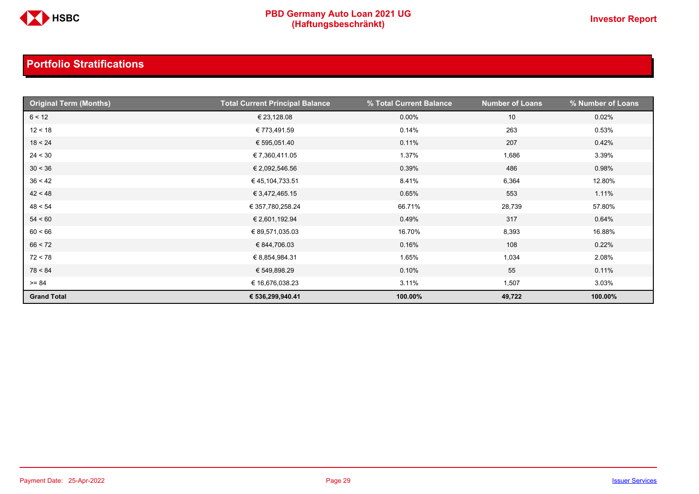

| <b>Original Term (Months)</b> | <b>Total Current Principal Balance</b> | % Total Current Balance | <b>Number of Loans</b> | % Number of Loans |
|-------------------------------|----------------------------------------|-------------------------|------------------------|-------------------|
| 6 < 12                        | € 23,128.08                            | $0.00\%$                | 10                     | 0.02%             |
| 12 < 18                       | € 773,491.59                           | 0.14%                   | 263                    | 0.53%             |
| 18 < 24                       | € 595,051.40                           | 0.11%                   | 207                    | 0.42%             |
| 24 < 30                       | € 7,360,411.05                         | 1.37%                   | 1,686                  | 3.39%             |
| 30 < 36                       | € 2,092,546.56                         | 0.39%                   | 486                    | 0.98%             |
| 36 < 42                       | €45,104,733.51                         | 8.41%                   | 6,364                  | 12.80%            |
| 42 < 48                       | € 3,472,465.15                         | 0.65%                   | 553                    | 1.11%             |
| 48 < 54                       | € 357,780,258.24                       | 66.71%                  | 28,739                 | 57.80%            |
| 54 < 60                       | € 2,601,192.94                         | 0.49%                   | 317                    | 0.64%             |
| 60 < 66                       | € 89,571,035.03                        | 16.70%                  | 8,393                  | 16.88%            |
| 66 < 72                       | € 844,706.03                           | 0.16%                   | 108                    | 0.22%             |
| 72 < 78                       | € 8,854,984.31                         | 1.65%                   | 1,034                  | 2.08%             |
| 78 < 84                       | € 549,898.29                           | 0.10%                   | 55                     | 0.11%             |
| $>= 84$                       | € 16,676,038.23                        | 3.11%                   | 1,507                  | 3.03%             |
| <b>Grand Total</b>            | € 536,299,940.41                       | 100.00%                 | 49,722                 | 100.00%           |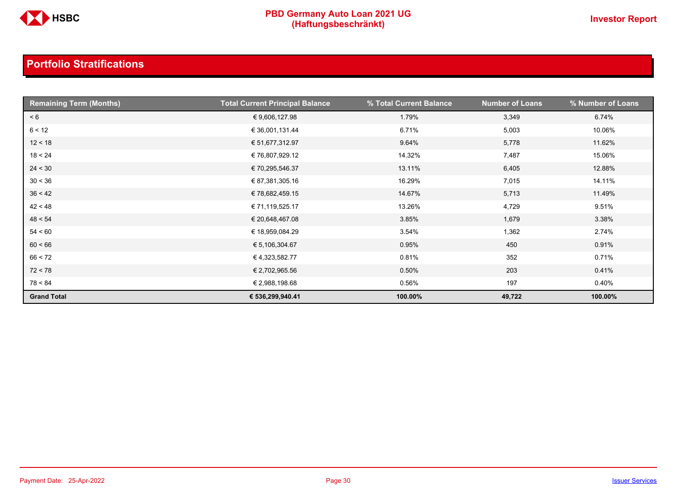

| <b>Remaining Term (Months)</b> | <b>Total Current Principal Balance</b> | % Total Current Balance | <b>Number of Loans</b> | % Number of Loans |
|--------------------------------|----------------------------------------|-------------------------|------------------------|-------------------|
| < 6                            | € 9,606,127.98                         | 1.79%                   | 3,349                  | 6.74%             |
| 6 < 12                         | € 36,001,131.44                        | 6.71%                   | 5,003                  | 10.06%            |
| 12 < 18                        | € 51,677,312.97                        | 9.64%                   | 5,778                  | 11.62%            |
| 18 < 24                        | € 76,807,929.12                        | 14.32%                  | 7,487                  | 15.06%            |
| 24 < 30                        | € 70,295,546.37                        | 13.11%                  | 6,405                  | 12.88%            |
| 30 < 36                        | € 87,381,305.16                        | 16.29%                  | 7,015                  | 14.11%            |
| 36 < 42                        | € 78,682,459.15                        | 14.67%                  | 5,713                  | 11.49%            |
| 42 < 48                        | € 71,119,525.17                        | 13.26%                  | 4,729                  | 9.51%             |
| 48 < 54                        | € 20,648,467.08                        | 3.85%                   | 1,679                  | 3.38%             |
| 54 < 60                        | € 18,959,084.29                        | 3.54%                   | 1,362                  | 2.74%             |
| 60 < 66                        | € 5,106,304.67                         | 0.95%                   | 450                    | 0.91%             |
| 66 < 72                        | € 4,323,582.77                         | 0.81%                   | 352                    | 0.71%             |
| 72 < 78                        | € 2,702,965.56                         | 0.50%                   | 203                    | 0.41%             |
| 78 < 84                        | € 2,988,198.68                         | 0.56%                   | 197                    | 0.40%             |
| <b>Grand Total</b>             | € 536,299,940.41                       | 100.00%                 | 49,722                 | 100.00%           |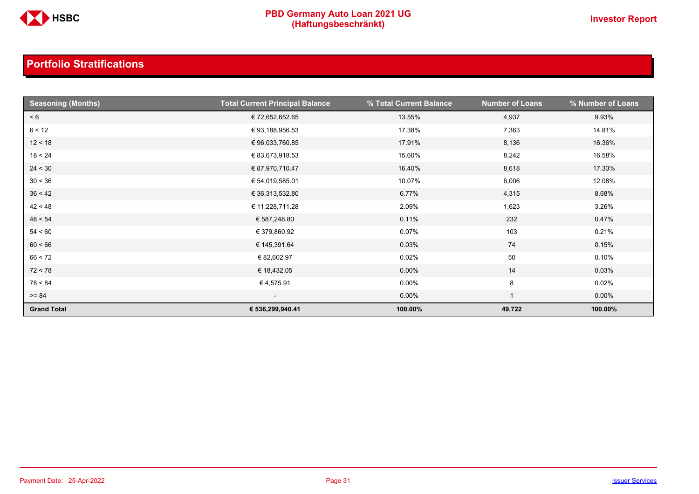

| <b>Seasoning (Months)</b> | <b>Total Current Principal Balance</b> | % Total Current Balance | <b>Number of Loans</b> | % Number of Loans |
|---------------------------|----------------------------------------|-------------------------|------------------------|-------------------|
| < 6                       | € 72,652,652.65                        | 13.55%                  | 4,937                  | 9.93%             |
| 6 < 12                    | € 93,188,956.53                        | 17.38%                  | 7,363                  | 14.81%            |
| 12 < 18                   | € 96,033,760.85                        | 17.91%                  | 8,136                  | 16.36%            |
| 18 < 24                   | € 83,673,918.53                        | 15.60%                  | 8,242                  | 16.58%            |
| 24 < 30                   | € 87,970,710.47                        | 16.40%                  | 8,618                  | 17.33%            |
| 30 < 36                   | € 54,019,585.01                        | 10.07%                  | 6,006                  | 12.08%            |
| 36 < 42                   | € 36,313,532.80                        | 6.77%                   | 4,315                  | 8.68%             |
| 42 < 48                   | € 11,228,711.28                        | 2.09%                   | 1,623                  | 3.26%             |
| 48 < 54                   | € 587,248.80                           | 0.11%                   | 232                    | 0.47%             |
| 54 < 60                   | € 379,860.92                           | 0.07%                   | 103                    | 0.21%             |
| 60 < 66                   | € 145,391.64                           | 0.03%                   | 74                     | 0.15%             |
| 66 < 72                   | € 82,602.97                            | 0.02%                   | $50\,$                 | 0.10%             |
| 72 < 78                   | € 18,432.05                            | $0.00\%$                | 14                     | 0.03%             |
| 78 < 84                   | € 4,575.91                             | $0.00\%$                | 8                      | 0.02%             |
| $>= 84$                   | $\overline{\phantom{0}}$               | $0.00\%$                |                        | $0.00\%$          |
| <b>Grand Total</b>        | € 536,299,940.41                       | 100.00%                 | 49,722                 | 100.00%           |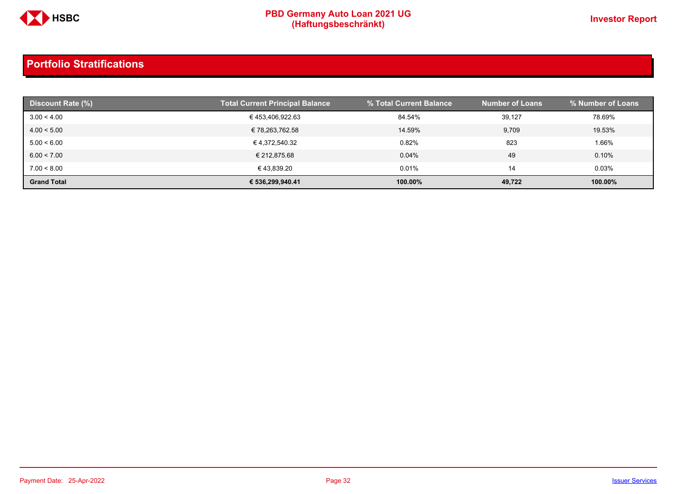

| Discount Rate (%)  | <b>Total Current Principal Balance</b> | % Total Current Balance | <b>Number of Loans</b> | % Number of Loans |
|--------------------|----------------------------------------|-------------------------|------------------------|-------------------|
| 3.00 < 4.00        | €453,406,922.63                        | 84.54%                  | 39,127                 | 78.69%            |
| 4.00 < 5.00        | € 78,263,762.58                        | 14.59%                  | 9,709                  | 19.53%            |
| 5.00 < 6.00        | € 4,372,540.32                         | 0.82%                   | 823                    | 1.66%             |
| 6.00 < 7.00        | € 212.875.68                           | 0.04%                   | 49                     | 0.10%             |
| 7.00 < 8.00        | € 43.839.20                            | 0.01%                   | 14                     | 0.03%             |
| <b>Grand Total</b> | € 536,299,940.41                       | 100.00%                 | 49,722                 | 100.00%           |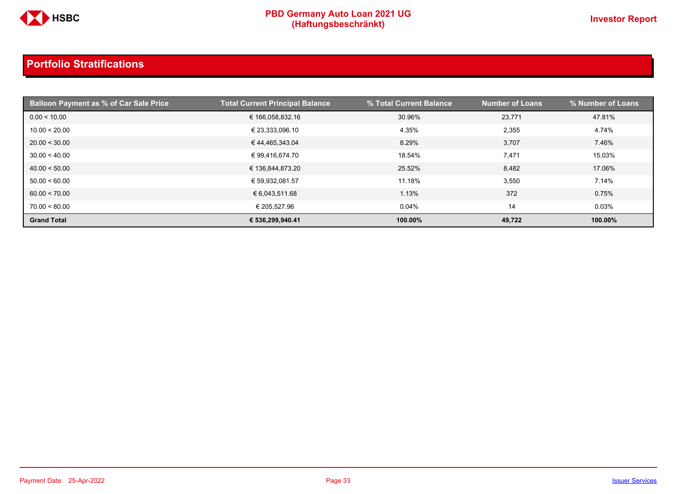

| <b>Balloon Payment as % of Car Sale Price</b> | <b>Total Current Principal Balance</b> | % Total Current Balance | <b>Number of Loans</b> | % Number of Loans |
|-----------------------------------------------|----------------------------------------|-------------------------|------------------------|-------------------|
| 0.00 < 10.00                                  | € 166,058,832.16                       | 30.96%                  | 23,771                 | 47.81%            |
| 10.00 < 20.00                                 | € 23,333,096.10                        | 4.35%                   | 2,355                  | 4.74%             |
| 20.00 < 30.00                                 | €44,465,343.04                         | 8.29%                   | 3,707                  | 7.46%             |
| 30.00 < 40.00                                 | € 99,416,674.70                        | 18.54%                  | 7,471                  | 15.03%            |
| 40.00 < 50.00                                 | € 136,844,873.20                       | 25.52%                  | 8,482                  | 17.06%            |
| 50.00 < 60.00                                 | € 59,932,081.57                        | 11.18%                  | 3,550                  | 7.14%             |
| 60.00 < 70.00                                 | € 6,043,511.68                         | 1.13%                   | 372                    | 0.75%             |
| 70.00 < 80.00                                 | € 205.527.96                           | 0.04%                   | 14                     | 0.03%             |
| <b>Grand Total</b>                            | € 536,299,940.41                       | 100.00%                 | 49,722                 | 100.00%           |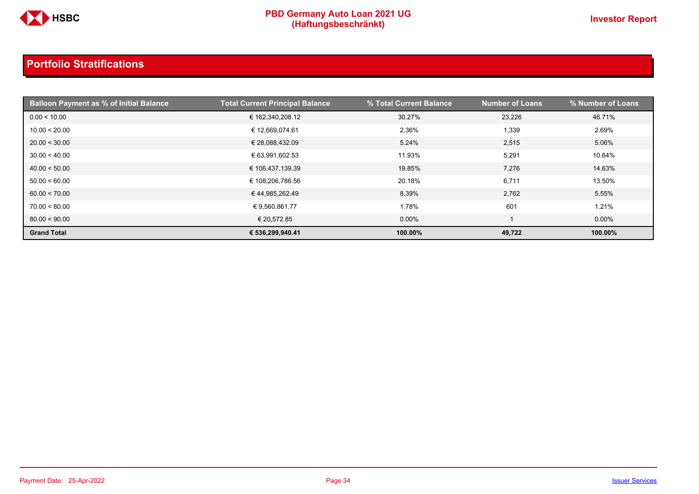

| <b>Balloon Payment as % of Initial Balance</b> | <b>Total Current Principal Balance</b> | % Total Current Balance | <b>Number of Loans</b> | % Number of Loans |
|------------------------------------------------|----------------------------------------|-------------------------|------------------------|-------------------|
| 0.00 < 10.00                                   | € 162,340,208.12                       | 30.27%                  | 23,226                 | 46.71%            |
| 10.00 < 20.00                                  | € 12,669,074.61                        | 2.36%                   | 1,339                  | 2.69%             |
| 20.00 < 30.00                                  | € 28,088,432.09                        | 5.24%                   | 2,515                  | 5.06%             |
| 30.00 < 40.00                                  | € 63,991,602.53                        | 11.93%                  | 5,291                  | 10.64%            |
| 40.00 < 50.00                                  | € 106,437,139.39                       | 19.85%                  | 7,276                  | 14.63%            |
| 50.00 < 60.00                                  | € 108,206,786.56                       | 20.18%                  | 6,711                  | 13.50%            |
| 60.00 < 70.00                                  | €44,985,262.49                         | 8.39%                   | 2,762                  | 5.55%             |
| 70.00 < 80.00                                  | € 9,560,861.77                         | 1.78%                   | 601                    | 1.21%             |
| 80.00 < 90.00                                  | € 20,572.85                            | $0.00\%$                |                        | $0.00\%$          |
| <b>Grand Total</b>                             | € 536,299,940.41                       | 100.00%                 | 49,722                 | 100.00%           |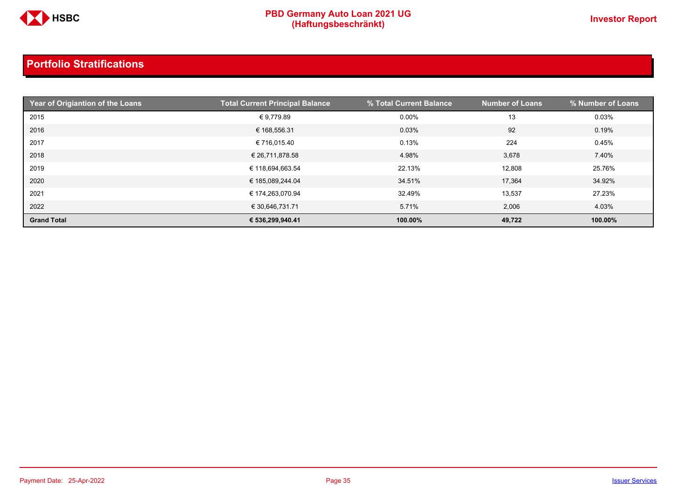

| Year of Origiantion of the Loans | <b>Total Current Principal Balance</b> | % Total Current Balance | <b>Number of Loans</b> | % Number of Loans |
|----------------------------------|----------------------------------------|-------------------------|------------------------|-------------------|
| 2015                             | €9,779.89                              | 0.00%                   | 13                     | 0.03%             |
| 2016                             | € 168,556.31                           | 0.03%                   | 92                     | 0.19%             |
| 2017                             | € 716,015.40                           | 0.13%                   | 224                    | 0.45%             |
| 2018                             | € 26,711,878.58                        | 4.98%                   | 3,678                  | 7.40%             |
| 2019                             | € 118,694,663.54                       | 22.13%                  | 12,808                 | 25.76%            |
| 2020                             | € 185,089,244.04                       | 34.51%                  | 17,364                 | 34.92%            |
| 2021                             | € 174,263,070.94                       | 32.49%                  | 13,537                 | 27.23%            |
| 2022                             | € 30,646,731.71                        | 5.71%                   | 2,006                  | 4.03%             |
| <b>Grand Total</b>               | € 536,299,940.41                       | 100.00%                 | 49,722                 | 100.00%           |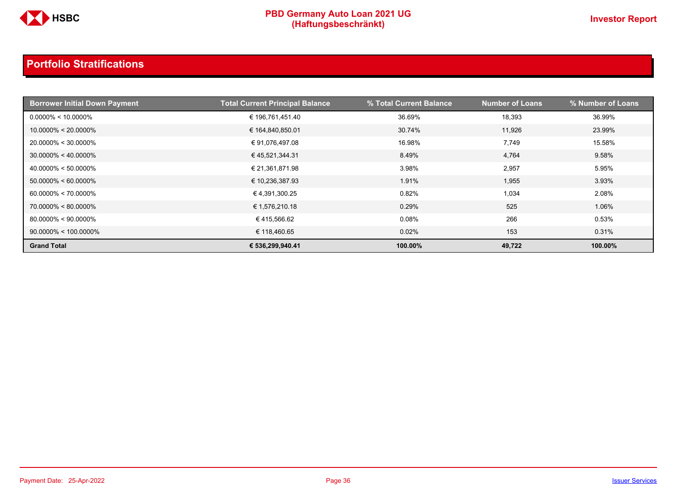

| <b>Borrower Initial Down Payment</b> | <b>Total Current Principal Balance</b> | % Total Current Balance | <b>Number of Loans</b> | % Number of Loans |
|--------------------------------------|----------------------------------------|-------------------------|------------------------|-------------------|
| $0.0000\% < 10.0000\%$               | € 196,761,451.40                       | 36.69%                  | 18,393                 | 36.99%            |
| $10.0000\% < 20.0000\%$              | € 164,840,850.01                       | 30.74%                  | 11.926                 | 23.99%            |
| $20.0000\% < 30.0000\%$              | € 91,076,497.08                        | 16.98%                  | 7,749                  | 15.58%            |
| $30.0000\% < 40.0000\%$              | €45,521,344.31                         | 8.49%                   | 4,764                  | 9.58%             |
| $40.0000\% < 50.0000\%$              | € 21,361,871.98                        | 3.98%                   | 2,957                  | 5.95%             |
| $50.0000\% < 60.0000\%$              | € 10,236,387.93                        | 1.91%                   | 1,955                  | 3.93%             |
| $60.0000\% < 70.0000\%$              | € 4,391,300.25                         | 0.82%                   | 1,034                  | 2.08%             |
| $70.0000\% < 80.0000\%$              | € 1,576,210.18                         | 0.29%                   | 525                    | 1.06%             |
| $80.0000\% < 90.0000\%$              | €415,566.62                            | 0.08%                   | 266                    | 0.53%             |
| $90.0000\% < 100.0000\%$             | € 118,460.65                           | 0.02%                   | 153                    | 0.31%             |
| <b>Grand Total</b>                   | € 536,299,940.41                       | 100.00%                 | 49,722                 | 100.00%           |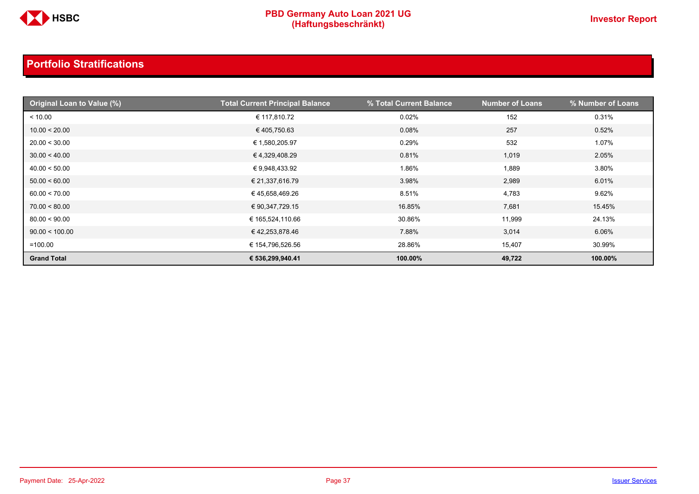

| <b>Original Loan to Value (%)</b> | <b>Total Current Principal Balance</b> | % Total Current Balance | <b>Number of Loans</b> | % Number of Loans |
|-----------------------------------|----------------------------------------|-------------------------|------------------------|-------------------|
| < 10.00                           | € 117,810.72                           | 0.02%                   | 152                    | 0.31%             |
| 10.00 < 20.00                     | €405,750.63                            | 0.08%                   | 257                    | 0.52%             |
| 20.00 < 30.00                     | € 1,580,205.97                         | 0.29%                   | 532                    | 1.07%             |
| 30.00 < 40.00                     | € 4,329,408.29                         | 0.81%                   | 1,019                  | 2.05%             |
| 40.00 < 50.00                     | € 9,948,433.92                         | 1.86%                   | 1,889                  | 3.80%             |
| 50.00 < 60.00                     | € 21,337,616.79                        | 3.98%                   | 2,989                  | 6.01%             |
| 60.00 < 70.00                     | € 45,658,469.26                        | 8.51%                   | 4,783                  | 9.62%             |
| 70.00 < 80.00                     | € 90,347,729.15                        | 16.85%                  | 7,681                  | 15.45%            |
| 80.00 < 90.00                     | € 165,524,110.66                       | 30.86%                  | 11,999                 | 24.13%            |
| 90.00 < 100.00                    | € 42,253,878.46                        | 7.88%                   | 3,014                  | 6.06%             |
| $=100.00$                         | € 154,796,526.56                       | 28.86%                  | 15,407                 | 30.99%            |
| <b>Grand Total</b>                | € 536,299,940.41                       | 100.00%                 | 49,722                 | 100.00%           |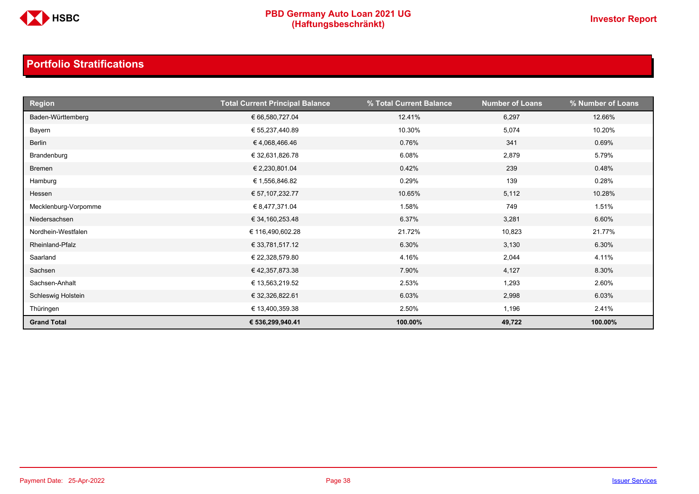

| <b>Region</b>        | <b>Total Current Principal Balance</b> | % Total Current Balance | <b>Number of Loans</b> | % Number of Loans |
|----------------------|----------------------------------------|-------------------------|------------------------|-------------------|
| Baden-Württemberg    | € 66,580,727.04                        | 12.41%                  | 6,297                  | 12.66%            |
| Bayern               | € 55,237,440.89                        | 10.30%                  | 5,074                  | 10.20%            |
| Berlin               | €4,068,466.46                          | 0.76%                   | 341                    | 0.69%             |
| Brandenburg          | € 32,631,826.78                        | 6.08%                   | 2,879                  | 5.79%             |
| Bremen               | € 2,230,801.04                         | 0.42%                   | 239                    | 0.48%             |
| Hamburg              | € 1,556,846.82                         | 0.29%                   | 139                    | 0.28%             |
| Hessen               | € 57,107,232.77                        | 10.65%                  | 5,112                  | 10.28%            |
| Mecklenburg-Vorpomme | € 8,477,371.04                         | 1.58%                   | 749                    | 1.51%             |
| Niedersachsen        | € 34,160,253.48                        | 6.37%                   | 3,281                  | 6.60%             |
| Nordhein-Westfalen   | € 116,490,602.28                       | 21.72%                  | 10,823                 | 21.77%            |
| Rheinland-Pfalz      | € 33,781,517.12                        | 6.30%                   | 3,130                  | 6.30%             |
| Saarland             | € 22,328,579.80                        | 4.16%                   | 2,044                  | 4.11%             |
| Sachsen              | € 42,357,873.38                        | 7.90%                   | 4,127                  | 8.30%             |
| Sachsen-Anhalt       | € 13,563,219.52                        | 2.53%                   | 1,293                  | 2.60%             |
| Schleswig Holstein   | € 32,326,822.61                        | 6.03%                   | 2,998                  | 6.03%             |
| Thüringen            | € 13,400,359.38                        | 2.50%                   | 1,196                  | 2.41%             |
| <b>Grand Total</b>   | € 536,299,940.41                       | 100.00%                 | 49,722                 | 100.00%           |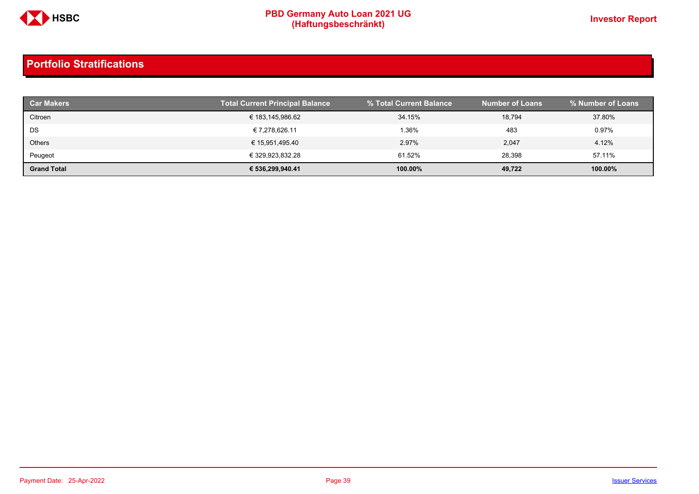

| <b>Car Makers</b>  | <b>Total Current Principal Balance</b> | % Total Current Balance | <b>Number of Loans</b> | % Number of Loans |
|--------------------|----------------------------------------|-------------------------|------------------------|-------------------|
| Citroen            | € 183,145,986.62                       | 34.15%                  | 18,794                 | 37.80%            |
| DS                 | € 7,278,626.11                         | 1.36%                   | 483                    | 0.97%             |
| Others             | € 15,951,495.40                        | 2.97%                   | 2,047                  | 4.12%             |
| Peugeot            | € 329,923,832.28                       | 61.52%                  | 28,398                 | 57.11%            |
| <b>Grand Total</b> | € 536,299,940.41                       | 100.00%                 | 49,722                 | 100.00%           |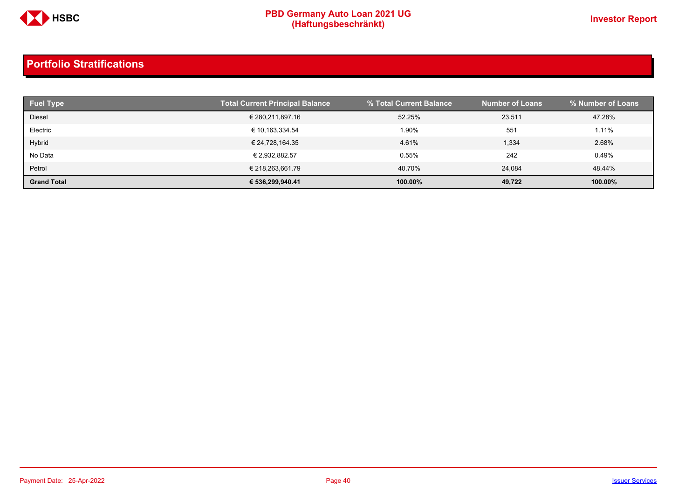

| <b>Fuel Type</b>   | <b>Total Current Principal Balance</b> | % Total Current Balance | <b>Number of Loans</b> | Ⅰ % Number of Loans ່ |
|--------------------|----------------------------------------|-------------------------|------------------------|-----------------------|
| Diesel             | € 280,211,897.16                       | 52.25%                  | 23,511                 | 47.28%                |
| Electric           | € 10,163,334.54                        | 1.90%                   | 551                    | 1.11%                 |
| Hybrid             | € 24,728,164.35                        | 4.61%                   | 1,334                  | 2.68%                 |
| No Data            | € 2,932,882.57                         | 0.55%                   | 242                    | 0.49%                 |
| Petrol             | € 218,263,661.79                       | 40.70%                  | 24,084                 | 48.44%                |
| <b>Grand Total</b> | € 536,299,940.41                       | 100.00%                 | 49,722                 | 100.00%               |